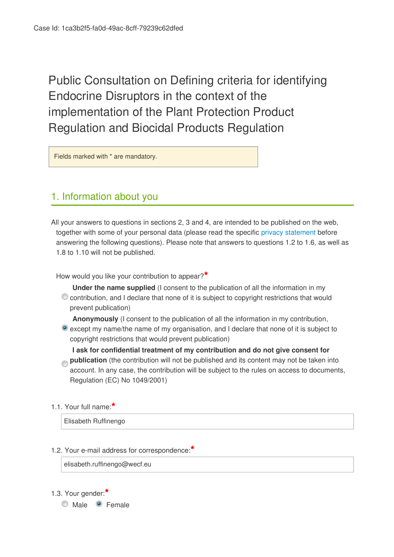Public Consultation on Defining criteria for identifying Endocrine Disruptors in the context of the implementation of the Plant Protection Product Regulation and Biocidal Products Regulation

Fields marked with \* are mandatory.

## 1. Information about you

All your answers to questions in sections 2, 3 and 4, are intended to be published on the web, together with some of your personal data (please read the specific [privacy statement](http://vestia.cc.cec.eu.int:8090/dgs/health_consumer/dgs_consultations/food/docs/consultation_20150116_privacy-statement-consultations-2011_en.pdf) before answering the following questions). Please note that answers to questions 1.2 to 1.6, as well as 1.8 to 1.10 will not be published.

How would you like your contribution to appear?**\***

**Under the name supplied** (I consent to the publication of all the information in my C contribution, and I declare that none of it is subject to copyright restrictions that would prevent publication)

**Anonymously** (I consent to the publication of all the information in my contribution, except my name/the name of my organisation, and I declare that none of it is subject to copyright restrictions that would prevent publication)

**I ask for confidential treatment of my contribution and do not give consent for publication** (the contribution will not be published and its content may not be taken into account. In any case, the contribution will be subject to the rules on access to documents, Regulation (EC) No 1049/2001)

1.1. Your full name:**\***

Elisabeth Ruffinengo

### 1.2. Your e-mail address for correspondence:**\***

elisabeth.ruffinengo@wecf.eu

1.3. Your gender:**\***

Male **C** Female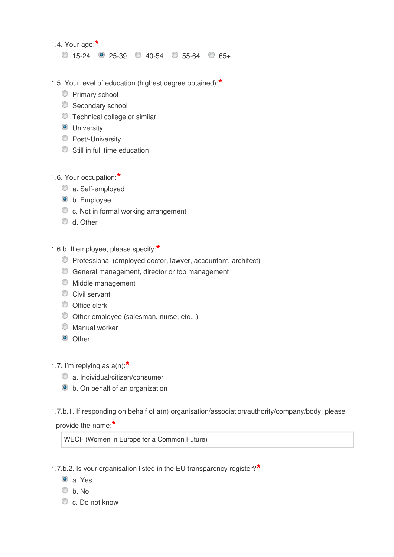1.4. Your age:**\***

 $\circ$  15-24  $\circ$  25-39  $\circ$  40-54  $\circ$  55-64  $\circ$  65+

- 1.5. Your level of education (highest degree obtained):**\***
	- **Primary school**
	- Secondary school
	- Technical college or similar
	- **O** University
	- **Post/-University**
	- Still in full time education
- 1.6. Your occupation:**\***
	- a. Self-employed
	- $\bullet$  b. Employee
	- c. Not in formal working arrangement
	- $\bullet$  d. Other
- 1.6.b. If employee, please specify:**\***
	- Professional (employed doctor, lawyer, accountant, architect)
	- General management, director or top management
	- $\bullet$  Middle management
	- Civil servant
	- O Office clerk
	- Other employee (salesman, nurse, etc...)
	- Manual worker
	- O Other
- 1.7. I'm replying as a(n):**\***
	- a. Individual/citizen/consumer
	- b. On behalf of an organization
- 1.7.b.1. If responding on behalf of a(n) organisation/association/authority/company/body, please

provide the name:**\***

WECF (Women in Europe for a Common Future)

1.7.b.2. Is your organisation listed in the EU transparency register?**\***

- a. Yes
- $\circ$  h No.
- c. Do not know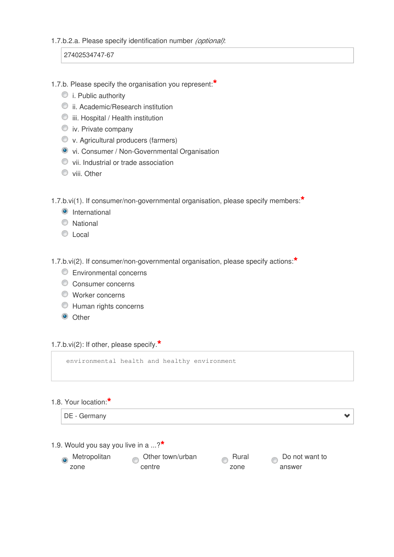#### 1.7.b.2.a. Please specify identification number *(optional)*:

27402534747-67

- 1.7.b. Please specify the organisation you represent:**\***
	- $\bullet$  i. Public authority
	- ii. Academic/Research institution
	- $\bullet$  iii. Hospital / Health institution
	- $\bullet$  iv. Private company
	- v. Agricultural producers (farmers)
	- vi. Consumer / Non-Governmental Organisation
	- $\bullet$  vii. Industrial or trade association
	- wiii. Other

1.7.b.vi(1). If consumer/non-governmental organisation, please specify members:**\***

- **O** International
- National
- $\circ$ local

1.7.b.vi(2). If consumer/non-governmental organisation, please specify actions:**\***

- **Environmental concerns**
- Consumer concerns
- Worker concerns
- Human rights concerns
- <sup>O</sup> Other

1.7.b.vi(2): If other, please specify.**\***

environmental health and healthy environment

#### 1.8. Your location:**\***

| DE - Germany |  |  |
|--------------|--|--|
|--------------|--|--|

1.9. Would you say you live in a ...?**\***

| Metropolitan |
|--------------|
| zone         |

Other town/urban centre

Rural zone

Do not want to answer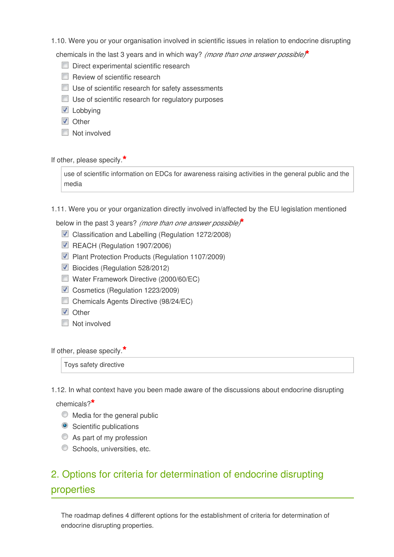1.10. Were you or your organisation involved in scientific issues in relation to endocrine disrupting

chemicals in the last 3 years and in which way? *(more than one answer possible)***\***

- Direct experimental scientific research
- Review of scientific research
- **Use of scientific research for safety assessments**
- Use of scientific research for regulatory purposes
- **Z** Lobbying
- **V** Other
- Not involved

If other, please specify.**\***

use of scientific information on EDCs for awareness raising activities in the general public and the media

1.11. Were you or your organization directly involved in/affected by the EU legislation mentioned

below in the past 3 years? *(more than one answer possible)***\***

- Classification and Labelling (Regulation 1272/2008)
- REACH (Regulation 1907/2006)
- **Plant Protection Products (Regulation 1107/2009)**
- Biocides (Regulation 528/2012)
- Water Framework Directive (2000/60/EC)
- Cosmetics (Regulation 1223/2009)
- Chemicals Agents Directive (98/24/EC)
- **V** Other
- **Not involved**

If other, please specify.**\***

Toys safety directive

1.12. In what context have you been made aware of the discussions about endocrine disrupting

chemicals?**\***

- $\bullet$  Media for the general public
- Scientific publications
- As part of my profession
- **Schools, universities, etc.**

# 2. Options for criteria for determination of endocrine disrupting properties

The roadmap defines 4 different options for the establishment of criteria for determination of endocrine disrupting properties.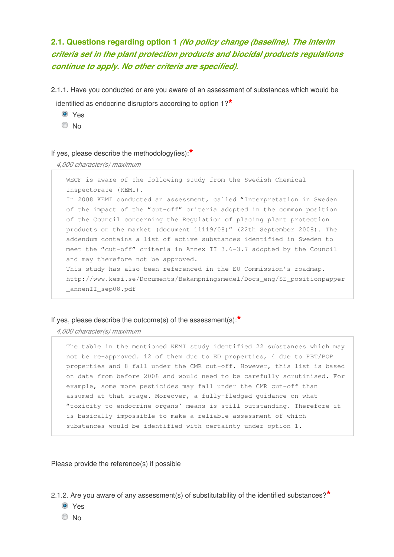## **2.1. Questions regarding option 1** *(No policy change (baseline). The interim criteria set in the plant protection products and biocidal products regulations continue to apply. No other criteria are specified).*

2.1.1. Have you conducted or are you aware of an assessment of substances which would be

identified as endocrine disruptors according to option 1?**\***

- <sup>O</sup> Yes
- © No

#### If yes, please describe the methodology(ies):**\***

#### *4,000 character(s) maximum*

WECF is aware of the following study from the Swedish Chemical Inspectorate (KEMI). In 2008 KEMI conducted an assessment, called "Interpretation in Sweden of the impact of the "cut-off" criteria adopted in the common position of the Council concerning the Regulation of placing plant protection products on the market (document 11119/08)" (22th September 2008). The addendum contains a list of active substances identified in Sweden to meet the "cut-off" criteria in Annex II 3.6-3.7 adopted by the Council and may therefore not be approved. This study has also been referenced in the EU Commission's roadmap. http://www.kemi.se/Documents/Bekampningsmedel/Docs\_eng/SE\_positionpapper \_annenII\_sep08.pdf

#### If yes, please describe the outcome(s) of the assessment(s):**\***

*4,000 character(s) maximum* 

The table in the mentioned KEMI study identified 22 substances which may not be re-approved. 12 of them due to ED properties, 4 due to PBT/POP properties and 8 fall under the CMR cut-off. However, this list is based on data from before 2008 and would need to be carefully scrutinised. For example, some more pesticides may fall under the CMR cut-off than assumed at that stage. Moreover, a fully-fledged guidance on what "toxicity to endocrine organs' means is still outstanding. Therefore it is basically impossible to make a reliable assessment of which substances would be identified with certainty under option 1.

Please provide the reference(s) if possible

2.1.2. Are you aware of any assessment(s) of substitutability of the identified substances?**\***

- Yes
- No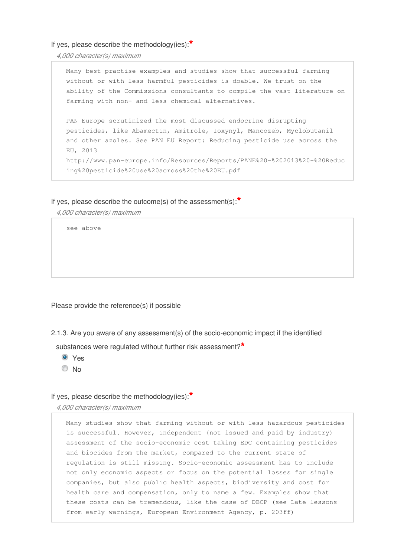If yes, please describe the methodology(ies):**\***

*4,000 character(s) maximum* 

Many best practise examples and studies show that successful farming without or with less harmful pesticides is doable. We trust on the ability of the Commissions consultants to compile the vast literature on farming with non- and less chemical alternatives. PAN Europe scrutinized the most discussed endocrine disrupting pesticides, like Abamectin, Amitrole, Ioxynyl, Mancozeb, Myclobutanil and other azoles. See PAN EU Report: Reducing pesticide use across the EU, 2013 http://www.pan-europe.info/Resources/Reports/PANE%20-%202013%20-%20Reduc ing%20pesticide%20use%20across%20the%20EU.pdf

#### If yes, please describe the outcome(s) of the assessment(s):**\***

*4,000 character(s) maximum* 

see above

Please provide the reference(s) if possible

2.1.3. Are you aware of any assessment(s) of the socio-economic impact if the identified

substances were regulated without further risk assessment?**\***

- Yes
- © No

#### If yes, please describe the methodology(ies):**\***

*4,000 character(s) maximum* 

Many studies show that farming without or with less hazardous pesticides is successful. However, independent (not issued and paid by industry) assessment of the socio-economic cost taking EDC containing pesticides and biocides from the market, compared to the current state of regulation is still missing. Socio-economic assessment has to include not only economic aspects or focus on the potential losses for single companies, but also public health aspects, biodiversity and cost for health care and compensation, only to name a few. Examples show that these costs can be tremendous, like the case of DBCP (see Late lessons from early warnings, European Environment Agency, p. 203ff)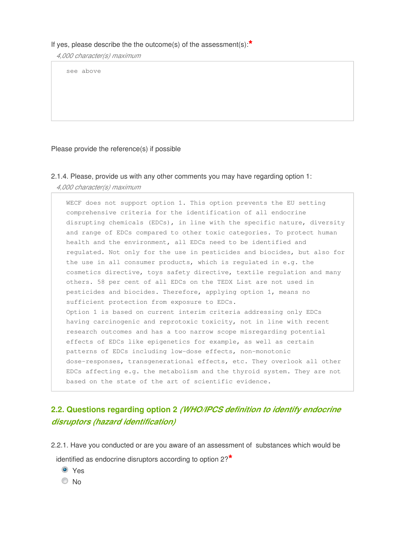#### If yes, please describe the the outcome(s) of the assessment(s):**\***

*4,000 character(s) maximum* 

see above

#### Please provide the reference(s) if possible

### 2.1.4. Please, provide us with any other comments you may have regarding option 1: *4,000 character(s) maximum*

WECF does not support option 1. This option prevents the EU setting comprehensive criteria for the identification of all endocrine disrupting chemicals (EDCs), in line with the specific nature, diversity and range of EDCs compared to other toxic categories. To protect human health and the environment, all EDCs need to be identified and regulated. Not only for the use in pesticides and biocides, but also for the use in all consumer products, which is regulated in e.g. the cosmetics directive, toys safety directive, textile regulation and many others. 58 per cent of all EDCs on the TEDX List are not used in pesticides and biocides. Therefore, applying option 1, means no sufficient protection from exposure to EDCs. Option 1 is based on current interim criteria addressing only EDCs having carcinogenic and reprotoxic toxicity, not in line with recent research outcomes and has a too narrow scope misregarding potential effects of EDCs like epigenetics for example, as well as certain patterns of EDCs including low-dose effects, non-monotonic dose-responses, transgenerational effects, etc. They overlook all other EDCs affecting e.g. the metabolism and the thyroid system. They are not based on the state of the art of scientific evidence.

### **2.2. Questions regarding option 2** *(WHO/IPCS definition to identify endocrine disruptors (hazard identification)*

- 2.2.1. Have you conducted or are you aware of an assessment of substances which would be identified as endocrine disruptors according to option 2?**\***
	- Yes
	- © No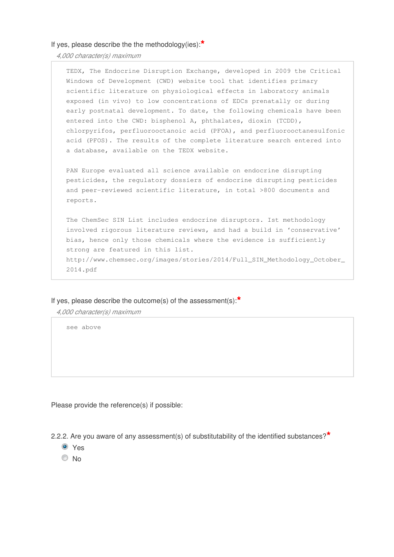#### If yes, please describe the the methodology(ies):**\***

*4,000 character(s) maximum* 

TEDX, The Endocrine Disruption Exchange, developed in 2009 the Critical Windows of Development (CWD) website tool that identifies primary scientific literature on physiological effects in laboratory animals exposed (in vivo) to low concentrations of EDCs prenatally or during early postnatal development. To date, the following chemicals have been entered into the CWD: bisphenol A, phthalates, dioxin (TCDD), chlorpyrifos, perfluorooctanoic acid (PFOA), and perfluorooctanesulfonic acid (PFOS). The results of the complete literature search entered into a database, available on the TEDX website.

PAN Europe evaluated all science available on endocrine disrupting pesticides, the regulatory dossiers of endocrine disrupting pesticides and peer-reviewed scientific literature, in total >800 documents and reports.

The ChemSec SIN List includes endocrine disruptors. Ist methodology involved rigorous literature reviews, and had a build in 'conservative' bias, hence only those chemicals where the evidence is sufficiently strong are featured in this list. http://www.chemsec.org/images/stories/2014/Full\_SIN\_Methodology\_October\_ 2014.pdf

If yes, please describe the outcome(s) of the assessment(s):**\***

*4,000 character(s) maximum* 

see above

Please provide the reference(s) if possible:

2.2.2. Are you aware of any assessment(s) of substitutability of the identified substances?**\***

- **O** Yes
- © No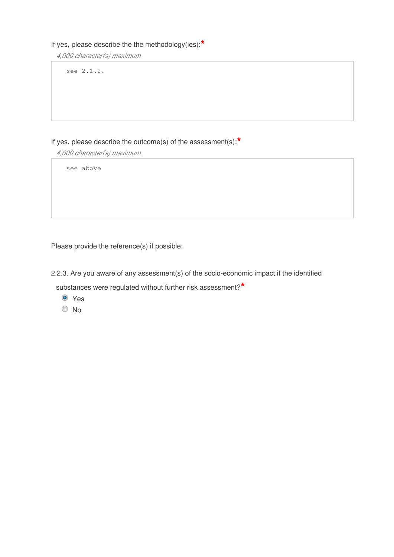### If yes, please describe the the methodology(ies):**\***

*4,000 character(s) maximum* 

see 2.1.2.

### If yes, please describe the outcome(s) of the assessment(s):**\***

*4,000 character(s) maximum* 

see above

Please provide the reference(s) if possible:

2.2.3. Are you aware of any assessment(s) of the socio-economic impact if the identified

substances were regulated without further risk assessment?**\***

- <sup>O</sup> Yes
- <sup>O</sup>No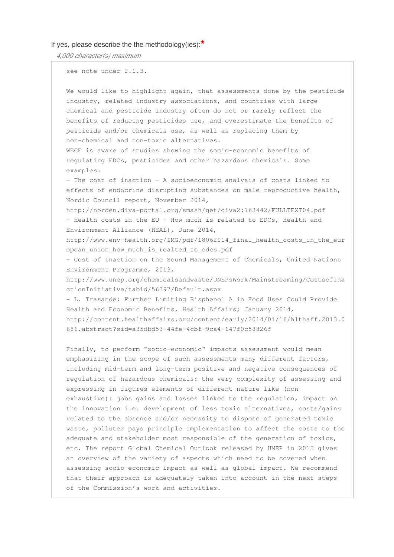#### If yes, please describe the the methodology(ies):**\***

*4,000 character(s) maximum* 

see note under 2.1.3.

We would like to highlight again, that assessments done by the pesticide industry, related industry associations, and countries with large chemical and pesticide industry often do not or rarely reflect the benefits of reducing pesticides use, and overestimate the benefits of pesticide and/or chemicals use, as well as replacing them by non-chemical and non-toxic alternatives. WECF is aware of studies showing the socio-economic benefits of regulating EDCs, pesticides and other hazardous chemicals. Some examples: - The cost of inaction – A socioeconomic analysis of costs linked to effects of endocrine disrupting substances on male reproductive health, Nordic Council report, November 2014, http://norden.diva-portal.org/smash/get/diva2:763442/FULLTEXT04.pdf - Health costs in the EU - How much is related to EDCs, Health and Environment Alliance (HEAL), June 2014, http://www.env-health.org/IMG/pdf/18062014\_final\_health\_costs\_in\_the\_eur opean\_union\_how\_much\_is\_realted\_to\_edcs.pdf - Cost of Inaction on the Sound Management of Chemicals, United Nations Environment Programme, 2013, http://www.unep.org/chemicalsandwaste/UNEPsWork/Mainstreaming/CostsofIna ctionInitiative/tabid/56397/Default.aspx - L. Trasande: Further Limiting Bisphenol A in Food Uses Could Provide Health and Economic Benefits, Health Affairs; January 2014, http://content.healthaffairs.org/content/early/2014/01/16/hlthaff.2013.0 686.abstract?sid=a35dbd53-44fe-4cbf-9ca4-147f0c58826f

Finally, to perform "socio-economic" impacts assessment would mean emphasizing in the scope of such assessments many different factors, including mid-term and long-term positive and negative consequences of regulation of hazardous chemicals: the very complexity of assessing and expressing in figures elements of different nature like (non exhaustive): jobs gains and losses linked to the regulation, impact on the innovation i.e. development of less toxic alternatives, costs/gains related to the absence and/or necessity to dispose of generated toxic waste, polluter pays principle implementation to affect the costs to the adequate and stakeholder most responsible of the generation of toxics, etc. The report Global Chemical Outlook released by UNEP in 2012 gives an overview of the variety of aspects which need to be covered when assessing socio-economic impact as well as global impact. We recommend that their approach is adequately taken into account in the next steps of the Commission's work and activities.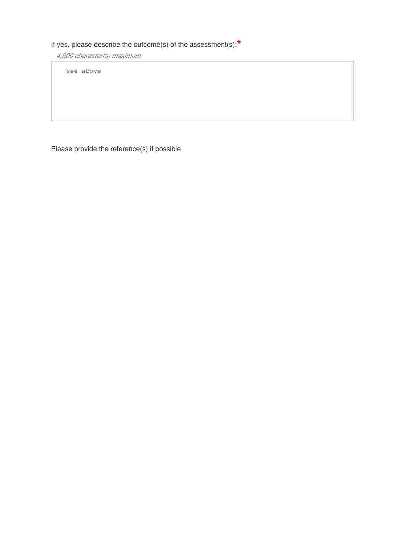### If yes, please describe the outcome(s) of the assessment(s):**\***

*4,000 character(s) maximum* 

see above

Please provide the reference(s) if possible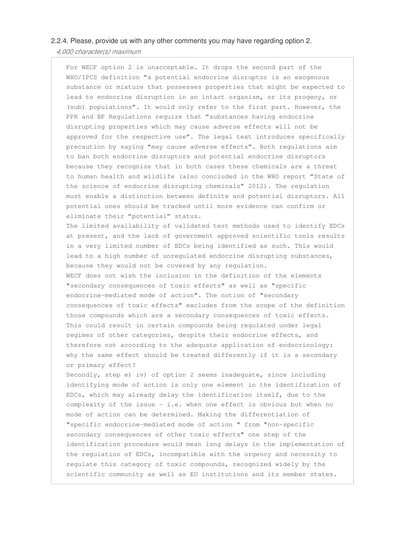#### 2.2.4. Please, provide us with any other comments you may have regarding option 2.

*4,000 character(s) maximum* 

For WECF option 2 is unacceptable. It drops the second part of the WHO/IPCS definition "a potential endocrine disruptor is an exogenous substance or mixture that possesses properties that might be expected to lead to endocrine disruption in an intact organism, or its progeny, or (sub) populations". It would only refer to the first part. However, the PPR and BP Regulations require that "substances having endocrine disrupting properties which may cause adverse effects will not be approved for the respective use". The legal text introduces specifically precaution by saying "may cause adverse effects". Both regulations aim to ban both endocrine disruptors and potential endocrine disruptors because they recognize that in both cases these chemicals are a threat to human health and wildlife (also concluded in the WHO report "State of the science of endocrine disrupting chemicals" 2012). The regulation must enable a distinction between definite and potential disruptors. All potential ones should be tracked until more evidence can confirm or eliminate their "potential" status.

The limited availability of validated test methods used to identify EDCs at present, and the lack of government approved scientific tools results in a very limited number of EDCs being identified as such. This would lead to a high number of unregulated endocrine disrupting substances, because they would not be covered by any regulation. WECF does not wish the inclusion in the definition of the elements "secondary consequences of toxic effects" as well as "specific endocrine-mediated mode of action". The notion of "secondary consequences of toxic effects" excludes from the scope of the definition those compounds which are a secondary consequences of toxic effects. This could result in certain compounds being regulated under legal regimes of other categories, despite their endocrine effects, and therefore not according to the adequate application of endocrinology: why the same effect should be treated differently if it is a secondary or primary effect?

Secondly, step e) iv) of option 2 seems inadequate, since including identifying mode of action is only one element in the identification of EDCs, which may already delay the identification itself, due to the complexity of the issue - i.e. when one effect is obvious but when no mode of action can be determined. Making the differentiation of "specific endocrine-mediated mode of action " from "non-specific secondary consequences of other toxic effects" one step of the identification procedure would mean long delays in the implementation of the regulation of EDCs, incompatible with the urgency and necessity to regulate this category of toxic compounds, recognized widely by the scientific community as well as EU institutions and its member states.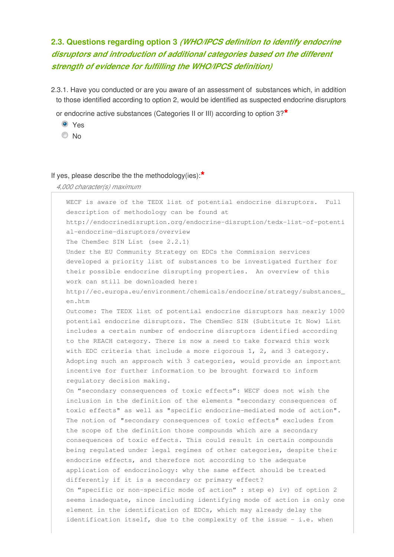## **2.3. Questions regarding option 3** *(WHO/IPCS definition to identify endocrine disruptors and introduction of additional categories based on the different strength of evidence for fulfilling the WHO/IPCS definition)*

- 2.3.1. Have you conducted or are you aware of an assessment of substances which, in addition to those identified according to option 2, would be identified as suspected endocrine disruptors
	- or endocrine active substances (Categories II or III) according to option 3?**\***
		- **O** Yes
		- <sup>O</sup>No

#### If yes, please describe the the methodology(ies):**\***

*4,000 character(s) maximum* 

WECF is aware of the TEDX list of potential endocrine disruptors. Full description of methodology can be found at http://endocrinedisruption.org/endocrine-disruption/tedx-list-of-potenti al-endocrine-disruptors/overview The ChemSec SIN List (see 2.2.1) Under the EU Community Strategy on EDCs the Commission services developed a priority list of substances to be investigated further for their possible endocrine disrupting properties. An overview of this work can still be downloaded here: http://ec.europa.eu/environment/chemicals/endocrine/strategy/substances\_ en.htm Outcome: The TEDX list of potential endocrine disruptors has nearly 1000 potential endocrine disruptors. The ChemSec SIN (Subtitute It Now) List includes a certain number of endocrine disruptors identified according to the REACH category. There is now a need to take forward this work with EDC criteria that include a more rigorous 1, 2, and 3 category. Adopting such an approach with 3 categories, would provide an important incentive for further information to be brought forward to inform regulatory decision making. On "secondary consequences of toxic effects": WECF does not wish the inclusion in the definition of the elements "secondary consequences of toxic effects" as well as "specific endocrine-mediated mode of action". The notion of "secondary consequences of toxic effects" excludes from the scope of the definition those compounds which are a secondary consequences of toxic effects. This could result in certain compounds being regulated under legal regimes of other categories, despite their endocrine effects, and therefore not according to the adequate application of endocrinology: why the same effect should be treated differently if it is a secondary or primary effect? On "specific or non-specific mode of action" : step e) iv) of option 2 seems inadequate, since including identifying mode of action is only one element in the identification of EDCs, which may already delay the identification itself, due to the complexity of the issue - i.e. when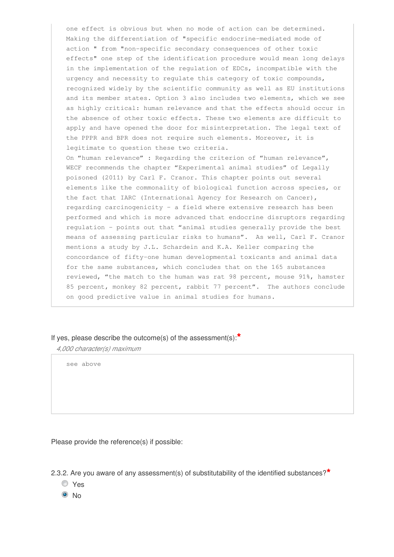one effect is obvious but when no mode of action can be determined. Making the differentiation of "specific endocrine-mediated mode of action " from "non-specific secondary consequences of other toxic effects" one step of the identification procedure would mean long delays in the implementation of the regulation of EDCs, incompatible with the urgency and necessity to regulate this category of toxic compounds, recognized widely by the scientific community as well as EU institutions and its member states. Option 3 also includes two elements, which we see as highly critical: human relevance and that the effects should occur in the absence of other toxic effects. These two elements are difficult to apply and have opened the door for misinterpretation. The legal text of the PPPR and BPR does not require such elements. Moreover, it is legitimate to question these two criteria. On "human relevance" : Regarding the criterion of "human relevance", WECF recommends the chapter "Experimental animal studies" of Legally poisoned (2011) by Carl F. Cranor. This chapter points out several elements like the commonality of biological function across species, or the fact that IARC (International Agency for Research on Cancer), regarding carcinogenicity – a field where extensive research has been performed and which is more advanced that endocrine disruptors regarding regulation - points out that "animal studies generally provide the best means of assessing particular risks to humans". As well, Carl F. Cranor mentions a study by J.L. Schardein and K.A. Keller comparing the concordance of fifty-one human developmental toxicants and animal data for the same substances, which concludes that on the 165 substances reviewed, "the match to the human was rat 98 percent, mouse 91%, hamster 85 percent, monkey 82 percent, rabbit 77 percent". The authors conclude on good predictive value in animal studies for humans.

#### If yes, please describe the outcome(s) of the assessment(s):**\***

*4,000 character(s) maximum* 

see above

Please provide the reference(s) if possible:

2.3.2. Are you aware of any assessment(s) of substitutability of the identified substances?**\***

- Yes
- <sup>O</sup>No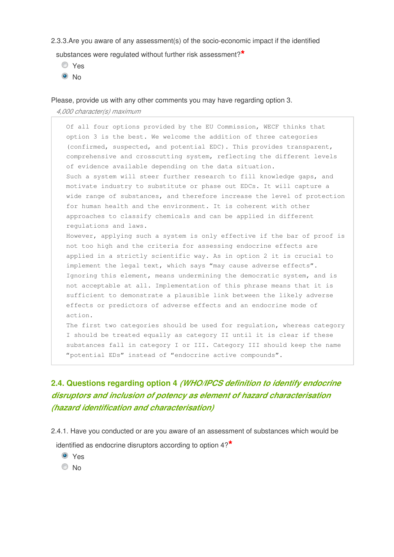2.3.3.Are you aware of any assessment(s) of the socio-economic impact if the identified

substances were regulated without further risk assessment?**\***

- Yes
- $\odot$  No

Please, provide us with any other comments you may have regarding option 3.

*4,000 character(s) maximum* 

Of all four options provided by the EU Commission, WECF thinks that option 3 is the best. We welcome the addition of three categories (confirmed, suspected, and potential EDC). This provides transparent, comprehensive and crosscutting system, reflecting the different levels of evidence available depending on the data situation. Such a system will steer further research to fill knowledge gaps, and motivate industry to substitute or phase out EDCs. It will capture a wide range of substances, and therefore increase the level of protection for human health and the environment. It is coherent with other approaches to classify chemicals and can be applied in different regulations and laws. However, applying such a system is only effective if the bar of proof is not too high and the criteria for assessing endocrine effects are applied in a strictly scientific way. As in option 2 it is crucial to implement the legal text, which says "may cause adverse effects". Ignoring this element, means undermining the democratic system, and is not acceptable at all. Implementation of this phrase means that it is sufficient to demonstrate a plausible link between the likely adverse effects or predictors of adverse effects and an endocrine mode of action. The first two categories should be used for regulation, whereas category

I should be treated equally as category II until it is clear if these substances fall in category I or III. Category III should keep the name "potential EDs" instead of "endocrine active compounds".

### **2.4. Questions regarding option 4** *(WHO/IPCS definition to identify endocrine disruptors and inclusion of potency as element of hazard characterisation (hazard identification and characterisation)*

2.4.1. Have you conducted or are you aware of an assessment of substances which would be identified as endocrine disruptors according to option 4?**\***

- Yes
- © No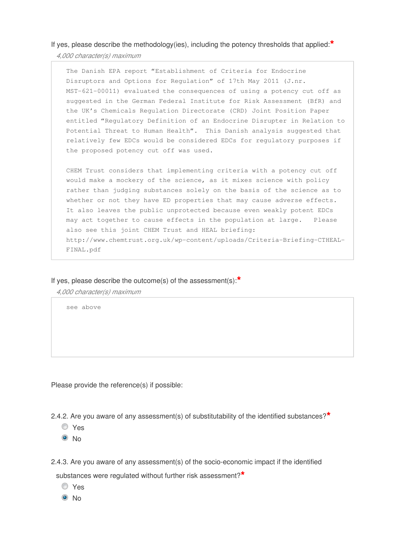If yes, please describe the methodology(ies), including the potency thresholds that applied:**\***

*4,000 character(s) maximum* 

The Danish EPA report "Establishment of Criteria for Endocrine Disruptors and Options for Regulation" of 17th May 2011 (J.nr. MST-621-00011) evaluated the consequences of using a potency cut off as suggested in the German Federal Institute for Risk Assessment (BfR) and the UK's Chemicals Regulation Directorate (CRD) Joint Position Paper entitled "Regulatory Definition of an Endocrine Disrupter in Relation to Potential Threat to Human Health". This Danish analysis suggested that relatively few EDCs would be considered EDCs for regulatory purposes if the proposed potency cut off was used.

CHEM Trust considers that implementing criteria with a potency cut off would make a mockery of the science, as it mixes science with policy rather than judging substances solely on the basis of the science as to whether or not they have ED properties that may cause adverse effects. It also leaves the public unprotected because even weakly potent EDCs may act together to cause effects in the population at large. Please also see this joint CHEM Trust and HEAL briefing: http://www.chemtrust.org.uk/wp-content/uploads/Criteria-Briefing-CTHEAL-FINAL.pdf

If yes, please describe the outcome(s) of the assessment(s):**\***

*4,000 character(s) maximum* 

see above

Please provide the reference(s) if possible:

2.4.2. Are you aware of any assessment(s) of substitutability of the identified substances?**\***

- Yes
- $\odot$  No

2.4.3. Are you aware of any assessment(s) of the socio-economic impact if the identified

substances were regulated without further risk assessment?**\***

- Yes
- $\odot$  No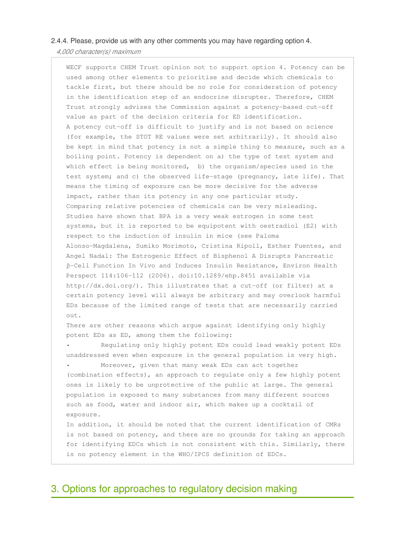#### 2.4.4. Please, provide us with any other comments you may have regarding option 4.

*4,000 character(s) maximum* 

WECF supports CHEM Trust opinion not to support option 4. Potency can be used among other elements to prioritise and decide which chemicals to tackle first, but there should be no role for consideration of potency in the identification step of an endocrine disrupter. Therefore, CHEM Trust strongly advises the Commission against a potency-based cut-off value as part of the decision criteria for ED identification. A potency cut-off is difficult to justify and is not based on science (for example, the STOT RE values were set arbitrarily). It should also be kept in mind that potency is not a simple thing to measure, such as a boiling point. Potency is dependent on a) the type of test system and which effect is being monitored, b) the organism/species used in the test system; and c) the observed life-stage (pregnancy, late life). That means the timing of exposure can be more decisive for the adverse impact, rather than its potency in any one particular study. Comparing relative potencies of chemicals can be very misleading. Studies have shown that BPA is a very weak estrogen in some test systems, but it is reported to be equipotent with oestradiol (E2) with respect to the induction of insulin in mice (see Paloma Alonso-Magdalena, Sumiko Morimoto, Cristina Ripoll, Esther Fuentes, and Angel Nadal: The Estrogenic Effect of Bisphenol A Disrupts Pancreatic β-Cell Function In Vivo and Induces Insulin Resistance, Environ Health Perspect 114:106–112 (2006). doi:10.1289/ehp.8451 available via http://dx.doi.org/). This illustrates that a cut-off (or filter) at a certain potency level will always be arbitrary and may overlook harmful EDs because of the limited range of tests that are necessarily carried out.

There are other reasons which argue against identifying only highly potent EDs as ED, among them the following:

• Regulating only highly potent EDs could lead weakly potent EDs unaddressed even when exposure in the general population is very high.

Moreover, given that many weak EDs can act together (combination effects), an approach to regulate only a few highly potent ones is likely to be unprotective of the public at large. The general population is exposed to many substances from many different sources such as food, water and indoor air, which makes up a cocktail of exposure.

In addition, it should be noted that the current identification of CMRs is not based on potency, and there are no grounds for taking an approach for identifying EDCs which is not consistent with this. Similarly, there is no potency element in the WHO/IPCS definition of EDCs.

### 3. Options for approaches to regulatory decision making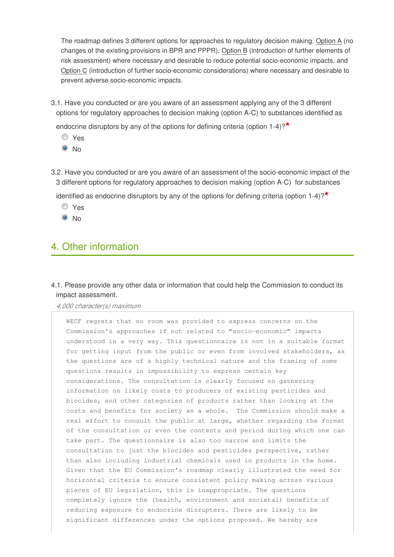The roadmap defines 3 different options for approaches to regulatory decision making. Option A (no changes of the existing provisions in BPR and PPPR), Option B (introduction of further elements of risk assessment) where necessary and desirable to reduce potential socio-economic impacts, and Option C (introduction of further socio-economic considerations) where necessary and desirable to prevent adverse socio-economic impacts.

3.1. Have you conducted or are you aware of an assessment applying any of the 3 different options for regulatory approaches to decision making (option A-C) to substances identified as

endocrine disruptors by any of the options for defining criteria (option 1-4)?**\***

- Yes
- $\odot$  No
- 3.2. Have you conducted or are you aware of an assessment of the socio-economic impact of the 3 different options for regulatory approaches to decision making (option A-C) for substances

identified as endocrine disruptors by any of the options for defining criteria (option 1-4)?**\***

- Yes
- $\odot$  No

## 4. Other information

4.1. Please provide any other data or information that could help the Commission to conduct its impact assessment.

*4,000 character(s) maximum* 

WECF regrets that no room was provided to express concerns on the Commission's approaches if not related to "socio-economic" impacts understood in a very way. This questionnaire is not in a suitable format for getting input from the public or even from involved stakeholders, as the questions are of a highly technical nature and the framing of some questions results in impossibility to express certain key considerations. The consultation is clearly focused on gathering information on likely costs to producers of existing pesticides and biocides, and other categories of products rather than looking at the costs and benefits for society as a whole. The Commission should make a real effort to consult the public at large, whether regarding the format of the consultation or even the contents and period during which one can take part. The questionnaire is also too narrow and limits the consultation to just the biocides and pesticides perspective, rather than also including industrial chemicals used in products in the home. Given that the EU Commission's roadmap clearly illustrated the need for horizontal criteria to ensure consistent policy making across various pieces of EU legislation, this is inappropriate. The questions completely ignore the (health, environment and societal) benefits of reducing exposure to endocrine disrupters. There are likely to be significant differences under the options proposed. We hereby are